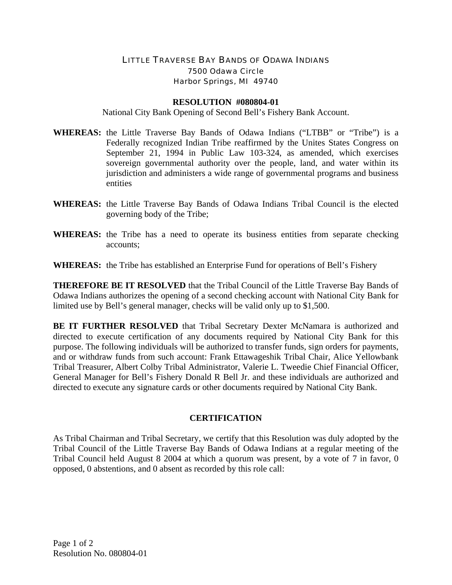## LITTLE TRAVERSE BAY BANDS OF ODAWA INDIANS 7500 Odawa Circle Harbor Springs, MI 49740

## **RESOLUTION #080804-01**

National City Bank Opening of Second Bell's Fishery Bank Account.

- **WHEREAS:** the Little Traverse Bay Bands of Odawa Indians ("LTBB" or "Tribe") is a Federally recognized Indian Tribe reaffirmed by the Unites States Congress on September 21, 1994 in Public Law 103-324, as amended, which exercises sovereign governmental authority over the people, land, and water within its jurisdiction and administers a wide range of governmental programs and business entities
- **WHEREAS:** the Little Traverse Bay Bands of Odawa Indians Tribal Council is the elected governing body of the Tribe;
- **WHEREAS:** the Tribe has a need to operate its business entities from separate checking accounts;

**WHEREAS:** the Tribe has established an Enterprise Fund for operations of Bell's Fishery

**THEREFORE BE IT RESOLVED** that the Tribal Council of the Little Traverse Bay Bands of Odawa Indians authorizes the opening of a second checking account with National City Bank for limited use by Bell's general manager, checks will be valid only up to \$1,500.

**BE IT FURTHER RESOLVED** that Tribal Secretary Dexter McNamara is authorized and directed to execute certification of any documents required by National City Bank for this purpose. The following individuals will be authorized to transfer funds, sign orders for payments, and or withdraw funds from such account: Frank Ettawageshik Tribal Chair, Alice Yellowbank Tribal Treasurer, Albert Colby Tribal Administrator, Valerie L. Tweedie Chief Financial Officer, General Manager for Bell's Fishery Donald R Bell Jr. and these individuals are authorized and directed to execute any signature cards or other documents required by National City Bank.

## **CERTIFICATION**

As Tribal Chairman and Tribal Secretary, we certify that this Resolution was duly adopted by the Tribal Council of the Little Traverse Bay Bands of Odawa Indians at a regular meeting of the Tribal Council held August 8 2004 at which a quorum was present, by a vote of 7 in favor, 0 opposed, 0 abstentions, and 0 absent as recorded by this role call: